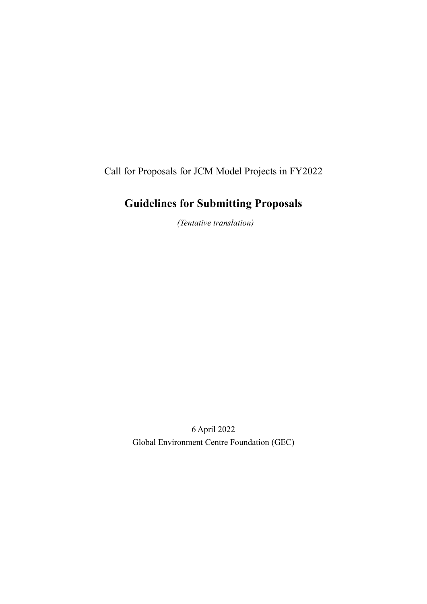Call for Proposals for JCM Model Projects in FY2022

# **Guidelines for Submitting Proposals**

*(Tentative translation)*

6 April 2022 Global Environment Centre Foundation (GEC)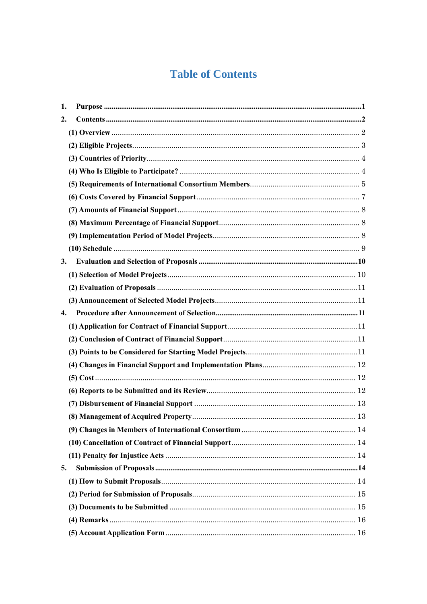# **Table of Contents**

| 1.                 |  |
|--------------------|--|
| 2.                 |  |
|                    |  |
|                    |  |
|                    |  |
|                    |  |
|                    |  |
|                    |  |
|                    |  |
|                    |  |
|                    |  |
|                    |  |
| 3.                 |  |
|                    |  |
|                    |  |
|                    |  |
| $\boldsymbol{4}$ . |  |
|                    |  |
|                    |  |
|                    |  |
|                    |  |
|                    |  |
|                    |  |
|                    |  |
|                    |  |
|                    |  |
|                    |  |
|                    |  |
| 5.                 |  |
|                    |  |
|                    |  |
|                    |  |
|                    |  |
|                    |  |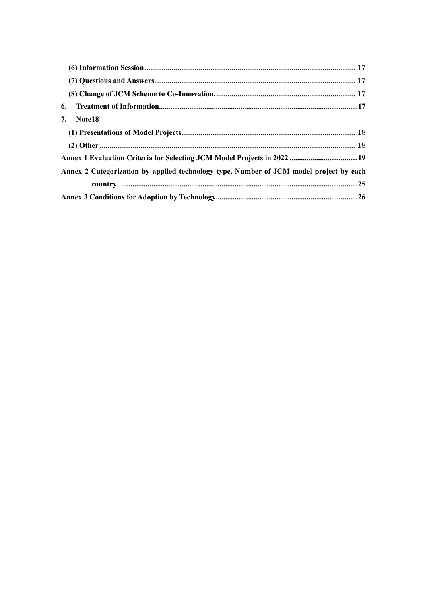| 6. |                                                                                        |  |
|----|----------------------------------------------------------------------------------------|--|
| 7. | Note 18                                                                                |  |
|    |                                                                                        |  |
|    |                                                                                        |  |
|    |                                                                                        |  |
|    | Annex 2 Categorization by applied technology type, Number of JCM model project by each |  |
|    |                                                                                        |  |
|    |                                                                                        |  |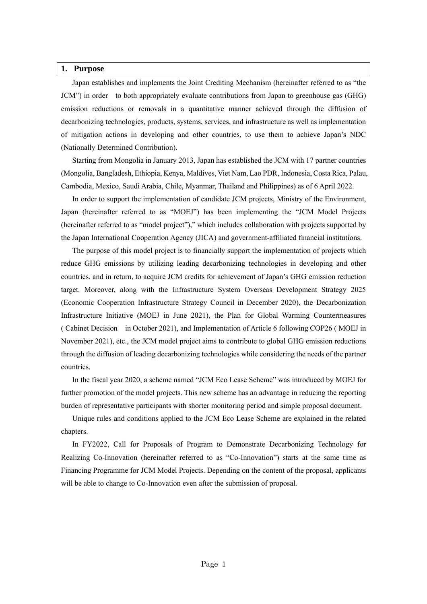#### <span id="page-3-0"></span>**1. Purpose**

Japan establishes and implements the Joint Crediting Mechanism (hereinafter referred to as "the JCM") in order to both appropriately evaluate contributions from Japan to greenhouse gas (GHG) emission reductions or removals in a quantitative manner achieved through the diffusion of decarbonizing technologies, products, systems, services, and infrastructure as well as implementation of mitigation actions in developing and other countries, to use them to achieve Japan's NDC (Nationally Determined Contribution).

Starting from Mongolia in January 2013, Japan has established the JCM with 17 partner countries (Mongolia, Bangladesh, Ethiopia, Kenya, Maldives, Viet Nam, Lao PDR, Indonesia, Costa Rica, Palau, Cambodia, Mexico, Saudi Arabia, Chile, Myanmar, Thailand and Philippines) as of 6 April 2022.

In order to support the implementation of candidate JCM projects, Ministry of the Environment, Japan (hereinafter referred to as "MOEJ") has been implementing the "JCM Model Projects (hereinafter referred to as "model project")," which includes collaboration with projects supported by the Japan International Cooperation Agency (JICA) and government-affiliated financial institutions.

The purpose of this model project is to financially support the implementation of projects which reduce GHG emissions by utilizing leading decarbonizing technologies in developing and other countries, and in return, to acquire JCM credits for achievement of Japan's GHG emission reduction target. Moreover, along with the Infrastructure System Overseas Development Strategy 2025 (Economic Cooperation Infrastructure Strategy Council in December 2020), the Decarbonization Infrastructure Initiative (MOEJ in June 2021), the Plan for Global Warming Countermeasures ( Cabinet Decision in October 2021), and Implementation of Article 6 following COP26 ( MOEJ in November 2021), etc., the JCM model project aims to contribute to global GHG emission reductions through the diffusion of leading decarbonizing technologies while considering the needs of the partner countries.

In the fiscal year 2020, a scheme named "JCM Eco Lease Scheme" was introduced by MOEJ for further promotion of the model projects. This new scheme has an advantage in reducing the reporting burden of representative participants with shorter monitoring period and simple proposal document.

Unique rules and conditions applied to the JCM Eco Lease Scheme are explained in the related chapters.

In FY2022, Call for Proposals of Program to Demonstrate Decarbonizing Technology for Realizing Co-Innovation (hereinafter referred to as "Co-Innovation") starts at the same time as Financing Programme for JCM Model Projects. Depending on the content of the proposal, applicants will be able to change to Co-Innovation even after the submission of proposal.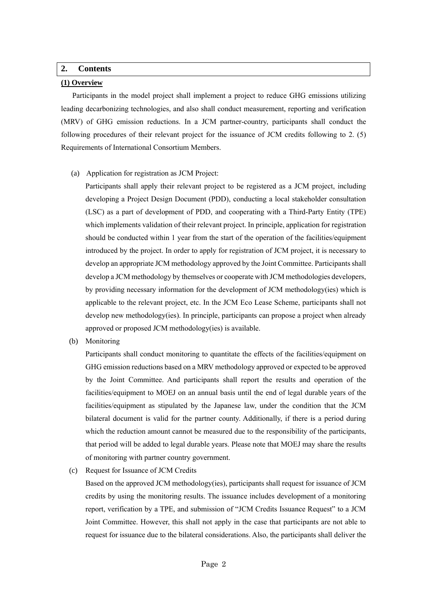## <span id="page-4-0"></span>**2. Contents**

### <span id="page-4-1"></span>**(1) Overview**

Participants in the model project shall implement a project to reduce GHG emissions utilizing leading decarbonizing technologies, and also shall conduct measurement, reporting and verification (MRV) of GHG emission reductions. In a JCM partner-country, participants shall conduct the following procedures of their relevant project for the issuance of JCM credits following to 2. (5) Requirements of International Consortium Members.

(a) Application for registration as JCM Project:

Participants shall apply their relevant project to be registered as a JCM project, including developing a Project Design Document (PDD), conducting a local stakeholder consultation (LSC) as a part of development of PDD, and cooperating with a Third-Party Entity (TPE) which implements validation of their relevant project. In principle, application for registration should be conducted within 1 year from the start of the operation of the facilities/equipment introduced by the project. In order to apply for registration of JCM project, it is necessary to develop an appropriate JCM methodology approved by the Joint Committee. Participants shall develop a JCM methodology by themselves or cooperate with JCM methodologies developers, by providing necessary information for the development of JCM methodology(ies) which is applicable to the relevant project, etc. In the JCM Eco Lease Scheme, participants shall not develop new methodology(ies). In principle, participants can propose a project when already approved or proposed JCM methodology(ies) is available.

(b) Monitoring

Participants shall conduct monitoring to quantitate the effects of the facilities/equipment on GHG emission reductions based on a MRV methodology approved or expected to be approved by the Joint Committee. And participants shall report the results and operation of the facilities/equipment to MOEJ on an annual basis until the end of legal durable years of the facilities/equipment as stipulated by the Japanese law, under the condition that the JCM bilateral document is valid for the partner county. Additionally, if there is a period during which the reduction amount cannot be measured due to the responsibility of the participants, that period will be added to legal durable years. Please note that MOEJ may share the results of monitoring with partner country government.

(c) Request for Issuance of JCM Credits

Based on the approved JCM methodology(ies), participants shall request for issuance of JCM credits by using the monitoring results. The issuance includes development of a monitoring report, verification by a TPE, and submission of "JCM Credits Issuance Request" to a JCM Joint Committee. However, this shall not apply in the case that participants are not able to request for issuance due to the bilateral considerations. Also, the participants shall deliver the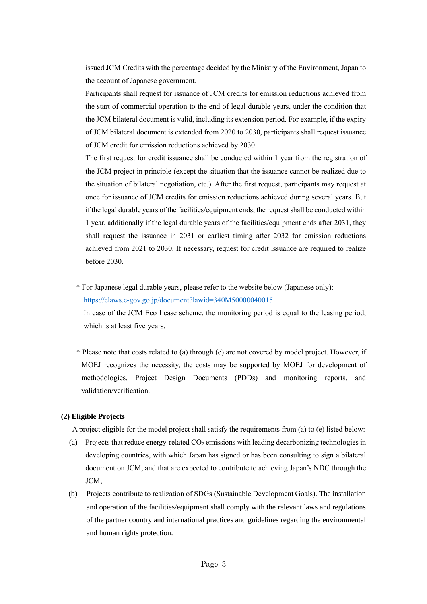issued JCM Credits with the percentage decided by the Ministry of the Environment, Japan to the account of Japanese government.

Participants shall request for issuance of JCM credits for emission reductions achieved from the start of commercial operation to the end of legal durable years, under the condition that the JCM bilateral document is valid, including its extension period. For example, if the expiry of JCM bilateral document is extended from 2020 to 2030, participants shall request issuance of JCM credit for emission reductions achieved by 2030.

The first request for credit issuance shall be conducted within 1 year from the registration of the JCM project in principle (except the situation that the issuance cannot be realized due to the situation of bilateral negotiation, etc.). After the first request, participants may request at once for issuance of JCM credits for emission reductions achieved during several years. But if the legal durable years of the facilities/equipment ends, the request shall be conducted within 1 year, additionally if the legal durable years of the facilities/equipment ends after 2031, they shall request the issuance in 2031 or earliest timing after 2032 for emission reductions achieved from 2021 to 2030. If necessary, request for credit issuance are required to realize before 2030.

\* For Japanese legal durable years, please refer to the website below (Japanese only): <https://elaws.e-gov.go.jp/document?lawid=340M50000040015> In case of the JCM Eco Lease scheme, the monitoring period is equal to the leasing period, which is at least five years.

\* Please note that costs related to (a) through (c) are not covered by model project. However, if MOEJ recognizes the necessity, the costs may be supported by MOEJ for development of methodologies, Project Design Documents (PDDs) and monitoring reports, and validation/verification.

#### <span id="page-5-0"></span>**(2) Eligible Projects**

A project eligible for the model project shall satisfy the requirements from (a) to (e) listed below:

- (a) Projects that reduce energy-related  $CO<sub>2</sub>$  emissions with leading decarbonizing technologies in developing countries, with which Japan has signed or has been consulting to sign a bilateral document on JCM, and that are expected to contribute to achieving Japan's NDC through the JCM;
- (b) Projects contribute to realization of SDGs (Sustainable Development Goals). The installation and operation of the facilities/equipment shall comply with the relevant laws and regulations of the partner country and international practices and guidelines regarding the environmental and human rights protection.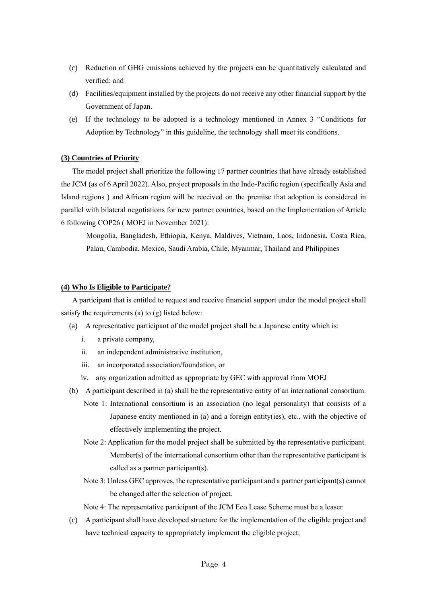- (c) Reduction of GHG emissions achieved by the projects can be quantitatively calculated and verified; and
- (d) Facilities/equipment installed by the projects do not receive any other financial support by the Government of Japan.
- (e) If the technology to be adopted is a technology mentioned in Annex 3 "Conditions for Adoption by Technology" in this guideline, the technology shall meet its conditions.

#### <span id="page-6-0"></span>**(3) Countries of Priority**

The model project shall prioritize the following 17 partner countries that have already established the JCM (as of 6 April 2022). Also, project proposals in the Indo-Pacific region (specifically Asia and Island regions ) and African region will be received on the premise that adoption is considered in parallel with bilateral negotiations for new partner countries, based on the Implementation of Article 6 following COP26 ( MOEJ in November 2021):

Mongolia, Bangladesh, Ethiopia, Kenya, Maldives, Vietnam, Laos, Indonesia, Costa Rica, Palau, Cambodia, Mexico, Saudi Arabia, Chile, Myanmar, Thailand and Philippines

#### <span id="page-6-1"></span>**(4) Who Is Eligible to Participate?**

A participant that is entitled to request and receive financial support under the model project shall satisfy the requirements (a) to (g) listed below:

- (a) A representative participant of the model project shall be a Japanese entity which is:
	- i. a private company,
	- ii. an independent administrative institution,
	- iii. an incorporated association/foundation, or
	- iv. any organization admitted as appropriate by GEC with approval from MOEJ
- (b) A participant described in (a) shall be the representative entity of an international consortium.
	- Note 1: International consortium is an association (no legal personality) that consists of a Japanese entity mentioned in (a) and a foreign entity(ies), etc., with the objective of effectively implementing the project.
	- Note 2: Application for the model project shall be submitted by the representative participant. Member(s) of the international consortium other than the representative participant is called as a partner participant(s).
	- Note 3: Unless GEC approves, the representative participant and a partner participant(s) cannot be changed after the selection of project.

Note 4: The representative participant of the JCM Eco Lease Scheme must be a leaser.

(c) A participant shall have developed structure for the implementation of the eligible project and have technical capacity to appropriately implement the eligible project;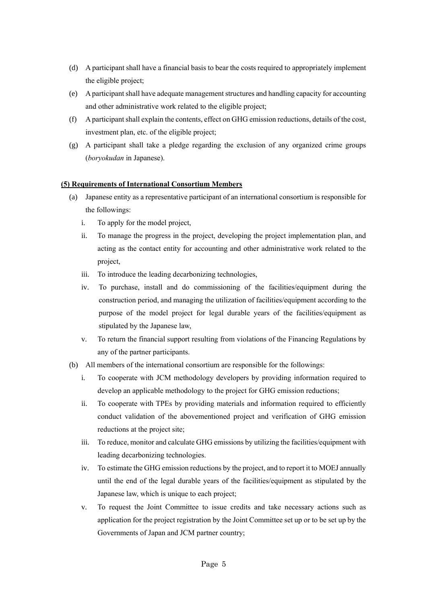- (d) A participant shall have a financial basis to bear the costs required to appropriately implement the eligible project;
- (e) A participant shall have adequate management structures and handling capacity for accounting and other administrative work related to the eligible project;
- (f) A participant shall explain the contents, effect on GHG emission reductions, details of the cost, investment plan, etc. of the eligible project;
- (g) A participant shall take a pledge regarding the exclusion of any organized crime groups (*boryokudan* in Japanese).

## <span id="page-7-0"></span>**(5) Requirements of International Consortium Members**

- (a) Japanese entity as a representative participant of an international consortium is responsible for the followings:
	- i. To apply for the model project,
	- ii. To manage the progress in the project, developing the project implementation plan, and acting as the contact entity for accounting and other administrative work related to the project,
	- iii. To introduce the leading decarbonizing technologies,
	- iv. To purchase, install and do commissioning of the facilities/equipment during the construction period, and managing the utilization of facilities/equipment according to the purpose of the model project for legal durable years of the facilities/equipment as stipulated by the Japanese law,
	- v. To return the financial support resulting from violations of the Financing Regulations by any of the partner participants.
- (b) All members of the international consortium are responsible for the followings:
	- i. To cooperate with JCM methodology developers by providing information required to develop an applicable methodology to the project for GHG emission reductions;
	- ii. To cooperate with TPEs by providing materials and information required to efficiently conduct validation of the abovementioned project and verification of GHG emission reductions at the project site;
	- iii. To reduce, monitor and calculate GHG emissions by utilizing the facilities/equipment with leading decarbonizing technologies.
	- iv. To estimate the GHG emission reductions by the project, and to report it to MOEJ annually until the end of the legal durable years of the facilities/equipment as stipulated by the Japanese law, which is unique to each project;
	- v. To request the Joint Committee to issue credits and take necessary actions such as application for the project registration by the Joint Committee set up or to be set up by the Governments of Japan and JCM partner country;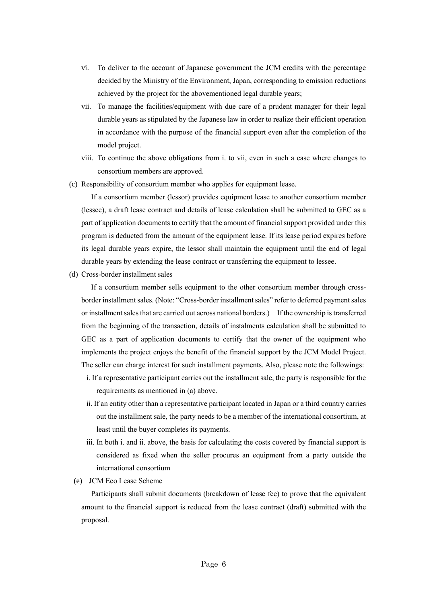- vi. To deliver to the account of Japanese government the JCM credits with the percentage decided by the Ministry of the Environment, Japan, corresponding to emission reductions achieved by the project for the abovementioned legal durable years;
- vii. To manage the facilities/equipment with due care of a prudent manager for their legal durable years as stipulated by the Japanese law in order to realize their efficient operation in accordance with the purpose of the financial support even after the completion of the model project.
- viii. To continue the above obligations from i. to vii, even in such a case where changes to consortium members are approved.
- (c) Responsibility of consortium member who applies for equipment lease.

If a consortium member (lessor) provides equipment lease to another consortium member (lessee), a draft lease contract and details of lease calculation shall be submitted to GEC as a part of application documents to certify that the amount of financial support provided under this program is deducted from the amount of the equipment lease. If its lease period expires before its legal durable years expire, the lessor shall maintain the equipment until the end of legal durable years by extending the lease contract or transferring the equipment to lessee.

(d) Cross-border installment sales

If a consortium member sells equipment to the other consortium member through crossborder installment sales. (Note: "Cross-border installment sales" refer to deferred payment sales or installment sales that are carried out across national borders.) If the ownership is transferred from the beginning of the transaction, details of instalments calculation shall be submitted to GEC as a part of application documents to certify that the owner of the equipment who implements the project enjoys the benefit of the financial support by the JCM Model Project. The seller can charge interest for such installment payments. Also, please note the followings:

- i. If a representative participant carries out the installment sale, the party is responsible for the requirements as mentioned in (a) above.
- ii. If an entity other than a representative participant located in Japan or a third country carries out the installment sale, the party needs to be a member of the international consortium, at least until the buyer completes its payments.
- iii. In both i. and ii. above, the basis for calculating the costs covered by financial support is considered as fixed when the seller procures an equipment from a party outside the international consortium
- (e) JCM Eco Lease Scheme

Participants shall submit documents (breakdown of lease fee) to prove that the equivalent amount to the financial support is reduced from the lease contract (draft) submitted with the proposal.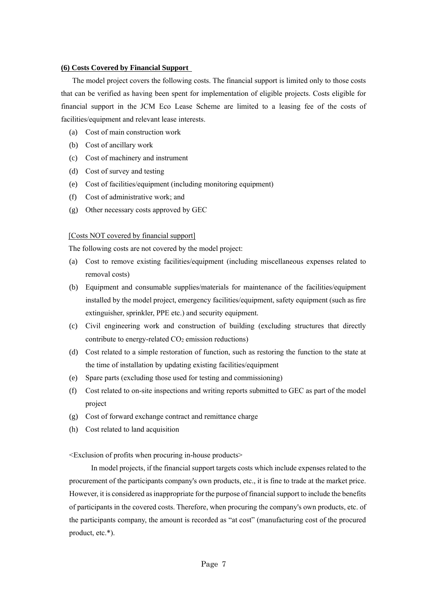#### <span id="page-9-0"></span>**(6) Costs Covered by Financial Support**

The model project covers the following costs. The financial support is limited only to those costs that can be verified as having been spent for implementation of eligible projects. Costs eligible for financial support in the JCM Eco Lease Scheme are limited to a leasing fee of the costs of facilities/equipment and relevant lease interests.

- (a) Cost of main construction work
- (b) Cost of ancillary work
- (c) Cost of machinery and instrument
- (d) Cost of survey and testing
- (e) Cost of facilities/equipment (including monitoring equipment)
- (f) Cost of administrative work; and
- (g) Other necessary costs approved by GEC

## [Costs NOT covered by financial support]

The following costs are not covered by the model project:

- (a) Cost to remove existing facilities/equipment (including miscellaneous expenses related to removal costs)
- (b) Equipment and consumable supplies/materials for maintenance of the facilities/equipment installed by the model project, emergency facilities/equipment, safety equipment (such as fire extinguisher, sprinkler, PPE etc.) and security equipment.
- (c) Civil engineering work and construction of building (excluding structures that directly contribute to energy-related  $CO<sub>2</sub>$  emission reductions)
- (d) Cost related to a simple restoration of function, such as restoring the function to the state at the time of installation by updating existing facilities/equipment
- (e) Spare parts (excluding those used for testing and commissioning)
- (f) Cost related to on-site inspections and writing reports submitted to GEC as part of the model project
- (g) Cost of forward exchange contract and remittance charge
- (h) Cost related to land acquisition

<Exclusion of profits when procuring in-house products>

In model projects, if the financial support targets costs which include expenses related to the procurement of the participants company's own products, etc., it is fine to trade at the market price. However, it is considered as inappropriate for the purpose of financial support to include the benefits of participants in the covered costs. Therefore, when procuring the company's own products, etc. of the participants company, the amount is recorded as "at cost" (manufacturing cost of the procured product, etc.\*).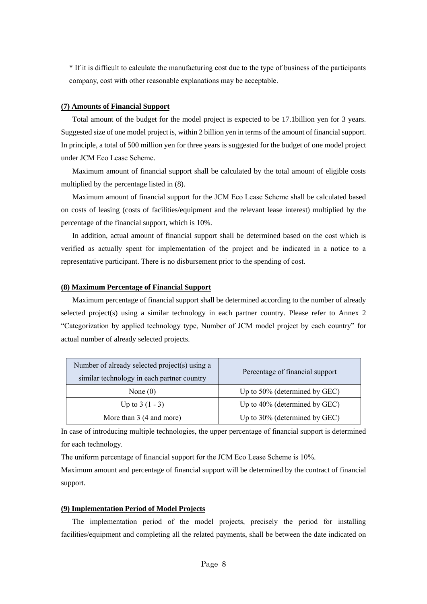\* If it is difficult to calculate the manufacturing cost due to the type of business of the participants company, cost with other reasonable explanations may be acceptable.

#### <span id="page-10-0"></span>**(7) Amounts of Financial Support**

Total amount of the budget for the model project is expected to be 17.1billion yen for 3 years. Suggested size of one model project is, within 2 billion yen in terms of the amount of financial support. In principle, a total of 500 million yen for three years is suggested for the budget of one model project under JCM Eco Lease Scheme.

Maximum amount of financial support shall be calculated by the total amount of eligible costs multiplied by the percentage listed in (8).

Maximum amount of financial support for the JCM Eco Lease Scheme shall be calculated based on costs of leasing (costs of facilities/equipment and the relevant lease interest) multiplied by the percentage of the financial support, which is 10%.

In addition, actual amount of financial support shall be determined based on the cost which is verified as actually spent for implementation of the project and be indicated in a notice to a representative participant. There is no disbursement prior to the spending of cost.

#### <span id="page-10-1"></span>**(8) Maximum Percentage of Financial Support**

Maximum percentage of financial support shall be determined according to the number of already selected project(s) using a similar technology in each partner country. Please refer to Annex 2 "Categorization by applied technology type, Number of JCM model project by each country" for actual number of already selected projects.

| Number of already selected project(s) using a<br>similar technology in each partner country | Percentage of financial support  |
|---------------------------------------------------------------------------------------------|----------------------------------|
| None $(0)$                                                                                  | Up to 50% (determined by GEC)    |
| Up to $3(1 - 3)$                                                                            | Up to $40\%$ (determined by GEC) |
| More than 3 (4 and more)                                                                    | Up to 30% (determined by GEC)    |

In case of introducing multiple technologies, the upper percentage of financial support is determined for each technology.

The uniform percentage of financial support for the JCM Eco Lease Scheme is 10%.

Maximum amount and percentage of financial support will be determined by the contract of financial support.

#### <span id="page-10-2"></span>**(9) Implementation Period of Model Projects**

The implementation period of the model projects, precisely the period for installing facilities/equipment and completing all the related payments, shall be between the date indicated on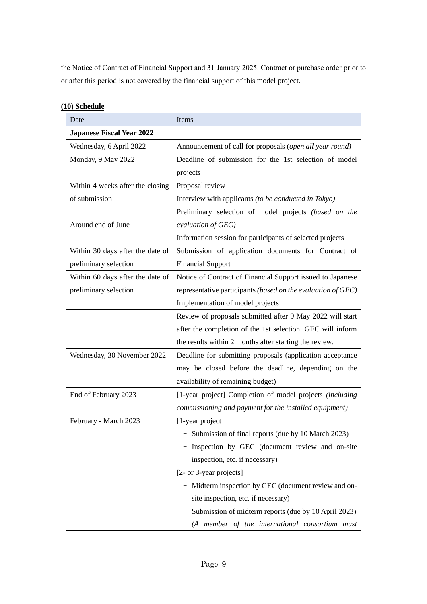the Notice of Contract of Financial Support and 31 January 2025. Contract or purchase order prior to or after this period is not covered by the financial support of this model project.

| Date                             | Items                                                        |  |  |  |  |  |  |  |
|----------------------------------|--------------------------------------------------------------|--|--|--|--|--|--|--|
| <b>Japanese Fiscal Year 2022</b> |                                                              |  |  |  |  |  |  |  |
| Wednesday, 6 April 2022          | Announcement of call for proposals (open all year round)     |  |  |  |  |  |  |  |
| Monday, 9 May 2022               | Deadline of submission for the 1st selection of model        |  |  |  |  |  |  |  |
|                                  | projects                                                     |  |  |  |  |  |  |  |
| Within 4 weeks after the closing | Proposal review                                              |  |  |  |  |  |  |  |
| of submission                    | Interview with applicants (to be conducted in Tokyo)         |  |  |  |  |  |  |  |
|                                  | Preliminary selection of model projects (based on the        |  |  |  |  |  |  |  |
| Around end of June               | evaluation of GEC)                                           |  |  |  |  |  |  |  |
|                                  | Information session for participants of selected projects    |  |  |  |  |  |  |  |
| Within 30 days after the date of | Submission of application documents for Contract of          |  |  |  |  |  |  |  |
| preliminary selection            | <b>Financial Support</b>                                     |  |  |  |  |  |  |  |
| Within 60 days after the date of | Notice of Contract of Financial Support issued to Japanese   |  |  |  |  |  |  |  |
| preliminary selection            | representative participants (based on the evaluation of GEC) |  |  |  |  |  |  |  |
|                                  | Implementation of model projects                             |  |  |  |  |  |  |  |
|                                  | Review of proposals submitted after 9 May 2022 will start    |  |  |  |  |  |  |  |
|                                  | after the completion of the 1st selection. GEC will inform   |  |  |  |  |  |  |  |
|                                  | the results within 2 months after starting the review.       |  |  |  |  |  |  |  |
| Wednesday, 30 November 2022      | Deadline for submitting proposals (application acceptance    |  |  |  |  |  |  |  |
|                                  | may be closed before the deadline, depending on the          |  |  |  |  |  |  |  |
|                                  | availability of remaining budget)                            |  |  |  |  |  |  |  |
| End of February 2023             | [1-year project] Completion of model projects (including     |  |  |  |  |  |  |  |
|                                  | commissioning and payment for the installed equipment)       |  |  |  |  |  |  |  |
| February - March 2023            | [1-year project]                                             |  |  |  |  |  |  |  |
|                                  | Submission of final reports (due by 10 March 2023)           |  |  |  |  |  |  |  |
|                                  | Inspection by GEC (document review and on-site               |  |  |  |  |  |  |  |
|                                  | inspection, etc. if necessary)                               |  |  |  |  |  |  |  |
|                                  | [2- or 3-year projects]                                      |  |  |  |  |  |  |  |
|                                  | - Midterm inspection by GEC (document review and on-         |  |  |  |  |  |  |  |
|                                  | site inspection, etc. if necessary)                          |  |  |  |  |  |  |  |
|                                  | - Submission of midterm reports (due by 10 April 2023)       |  |  |  |  |  |  |  |
|                                  | (A member of the international consortium must               |  |  |  |  |  |  |  |

## <span id="page-11-0"></span>**(10) Schedule**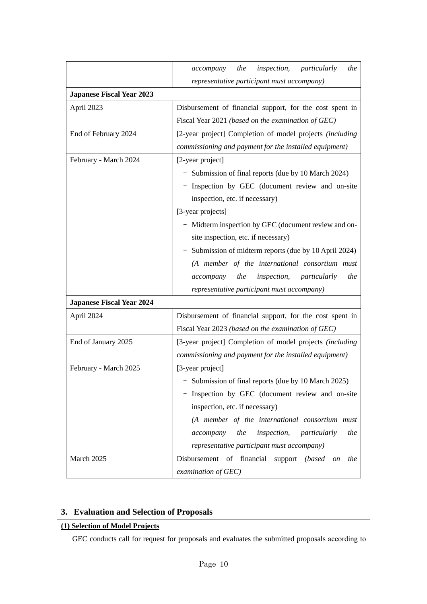|                                  | inspection,<br>the<br>the<br>particularly<br>accompany          |  |  |  |  |  |  |  |  |  |  |  |
|----------------------------------|-----------------------------------------------------------------|--|--|--|--|--|--|--|--|--|--|--|
|                                  | representative participant must accompany)                      |  |  |  |  |  |  |  |  |  |  |  |
| <b>Japanese Fiscal Year 2023</b> |                                                                 |  |  |  |  |  |  |  |  |  |  |  |
| April 2023                       | Disbursement of financial support, for the cost spent in        |  |  |  |  |  |  |  |  |  |  |  |
|                                  | Fiscal Year 2021 (based on the examination of GEC)              |  |  |  |  |  |  |  |  |  |  |  |
| End of February 2024             | [2-year project] Completion of model projects (including        |  |  |  |  |  |  |  |  |  |  |  |
|                                  | commissioning and payment for the installed equipment)          |  |  |  |  |  |  |  |  |  |  |  |
| February - March 2024            | [2-year project]                                                |  |  |  |  |  |  |  |  |  |  |  |
|                                  | Submission of final reports (due by 10 March 2024)              |  |  |  |  |  |  |  |  |  |  |  |
|                                  | Inspection by GEC (document review and on-site                  |  |  |  |  |  |  |  |  |  |  |  |
|                                  | inspection, etc. if necessary)                                  |  |  |  |  |  |  |  |  |  |  |  |
|                                  | [3-year projects]                                               |  |  |  |  |  |  |  |  |  |  |  |
|                                  | - Midterm inspection by GEC (document review and on-            |  |  |  |  |  |  |  |  |  |  |  |
|                                  | site inspection, etc. if necessary)                             |  |  |  |  |  |  |  |  |  |  |  |
|                                  | Submission of midterm reports (due by 10 April 2024)            |  |  |  |  |  |  |  |  |  |  |  |
|                                  | (A member of the international consortium must                  |  |  |  |  |  |  |  |  |  |  |  |
|                                  | the<br>inspection,<br>the<br>accompany<br>particularly          |  |  |  |  |  |  |  |  |  |  |  |
|                                  | representative participant must accompany)                      |  |  |  |  |  |  |  |  |  |  |  |
| <b>Japanese Fiscal Year 2024</b> |                                                                 |  |  |  |  |  |  |  |  |  |  |  |
| April 2024                       | Disbursement of financial support, for the cost spent in        |  |  |  |  |  |  |  |  |  |  |  |
|                                  | Fiscal Year 2023 (based on the examination of GEC)              |  |  |  |  |  |  |  |  |  |  |  |
| End of January 2025              | [3-year project] Completion of model projects (including        |  |  |  |  |  |  |  |  |  |  |  |
|                                  | commissioning and payment for the installed equipment)          |  |  |  |  |  |  |  |  |  |  |  |
| February - March 2025            | [3-year project]                                                |  |  |  |  |  |  |  |  |  |  |  |
|                                  | - Submission of final reports (due by 10 March 2025)            |  |  |  |  |  |  |  |  |  |  |  |
|                                  | Inspection by GEC (document review and on-site                  |  |  |  |  |  |  |  |  |  |  |  |
|                                  | inspection, etc. if necessary)                                  |  |  |  |  |  |  |  |  |  |  |  |
|                                  | (A member of the international consortium must                  |  |  |  |  |  |  |  |  |  |  |  |
|                                  | the<br>inspection,<br>particularly<br>accompany<br>the          |  |  |  |  |  |  |  |  |  |  |  |
|                                  | representative participant must accompany)                      |  |  |  |  |  |  |  |  |  |  |  |
| March 2025                       | Disbursement<br>of financial support (based<br>the<br><i>on</i> |  |  |  |  |  |  |  |  |  |  |  |
|                                  | examination of GEC)                                             |  |  |  |  |  |  |  |  |  |  |  |

## <span id="page-12-0"></span>**3. Evaluation and Selection of Proposals**

## <span id="page-12-1"></span>**(1) Selection of Model Projects**

GEC conducts call for request for proposals and evaluates the submitted proposals according to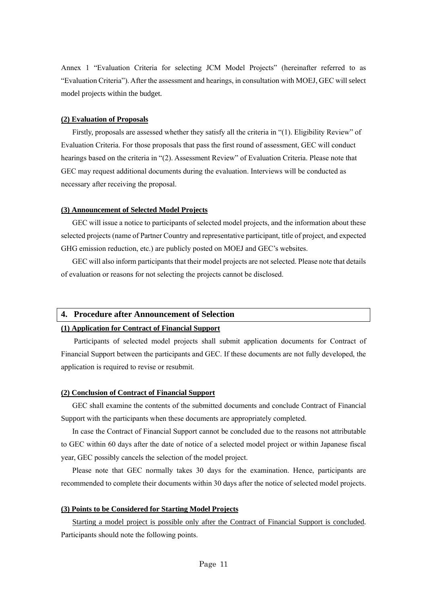Annex 1 "Evaluation Criteria for selecting JCM Model Projects" (hereinafter referred to as "Evaluation Criteria"). After the assessment and hearings, in consultation with MOEJ, GEC will select model projects within the budget.

#### <span id="page-13-0"></span>**(2) Evaluation of Proposals**

Firstly, proposals are assessed whether they satisfy all the criteria in "(1). Eligibility Review" of Evaluation Criteria. For those proposals that pass the first round of assessment, GEC will conduct hearings based on the criteria in "(2). Assessment Review" of Evaluation Criteria. Please note that GEC may request additional documents during the evaluation. Interviews will be conducted as necessary after receiving the proposal.

#### <span id="page-13-1"></span>**(3) Announcement of Selected Model Projects**

GEC will issue a notice to participants of selected model projects, and the information about these selected projects (name of Partner Country and representative participant, title of project, and expected GHG emission reduction, etc.) are publicly posted on MOEJ and GEC's websites.

GEC will also inform participants that their model projects are not selected. Please note that details of evaluation or reasons for not selecting the projects cannot be disclosed.

#### <span id="page-13-2"></span>**4. Procedure after Announcement of Selection**

## <span id="page-13-3"></span>**(1) Application for Contract of Financial Support**

Participants of selected model projects shall submit application documents for Contract of Financial Support between the participants and GEC. If these documents are not fully developed, the application is required to revise or resubmit.

#### <span id="page-13-4"></span>**(2) Conclusion of Contract of Financial Support**

GEC shall examine the contents of the submitted documents and conclude Contract of Financial Support with the participants when these documents are appropriately completed.

In case the Contract of Financial Support cannot be concluded due to the reasons not attributable to GEC within 60 days after the date of notice of a selected model project or within Japanese fiscal year, GEC possibly cancels the selection of the model project.

Please note that GEC normally takes 30 days for the examination. Hence, participants are recommended to complete their documents within 30 days after the notice of selected model projects.

#### <span id="page-13-5"></span>**(3) Points to be Considered for Starting Model Projects**

Starting a model project is possible only after the Contract of Financial Support is concluded. Participants should note the following points.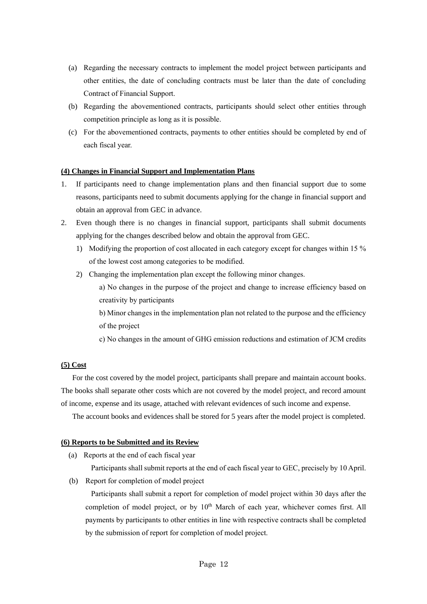- (a) Regarding the necessary contracts to implement the model project between participants and other entities, the date of concluding contracts must be later than the date of concluding Contract of Financial Support.
- (b) Regarding the abovementioned contracts, participants should select other entities through competition principle as long as it is possible.
- (c) For the abovementioned contracts, payments to other entities should be completed by end of each fiscal year.

## <span id="page-14-0"></span>**(4) Changes in Financial Support and Implementation Plans**

- 1. If participants need to change implementation plans and then financial support due to some reasons, participants need to submit documents applying for the change in financial support and obtain an approval from GEC in advance.
- 2. Even though there is no changes in financial support, participants shall submit documents applying for the changes described below and obtain the approval from GEC.
	- 1) Modifying the proportion of cost allocated in each category except for changes within 15 % of the lowest cost among categories to be modified.
	- 2) Changing the implementation plan except the following minor changes.
		- a) No changes in the purpose of the project and change to increase efficiency based on creativity by participants
		- b) Minor changes in the implementation plan not related to the purpose and the efficiency of the project
		- c) No changes in the amount of GHG emission reductions and estimation of JCM credits

## <span id="page-14-1"></span>**(5) Cost**

For the cost covered by the model project, participants shall prepare and maintain account books. The books shall separate other costs which are not covered by the model project, and record amount of income, expense and its usage, attached with relevant evidences of such income and expense.

The account books and evidences shall be stored for 5 years after the model project is completed.

#### <span id="page-14-2"></span>**(6) Reports to be Submitted and its Review**

(a) Reports at the end of each fiscal year

Participants shall submit reports at the end of each fiscal year to GEC, precisely by 10 April.

(b) Report for completion of model project

Participants shall submit a report for completion of model project within 30 days after the completion of model project, or by  $10<sup>th</sup>$  March of each year, whichever comes first. All payments by participants to other entities in line with respective contracts shall be completed by the submission of report for completion of model project.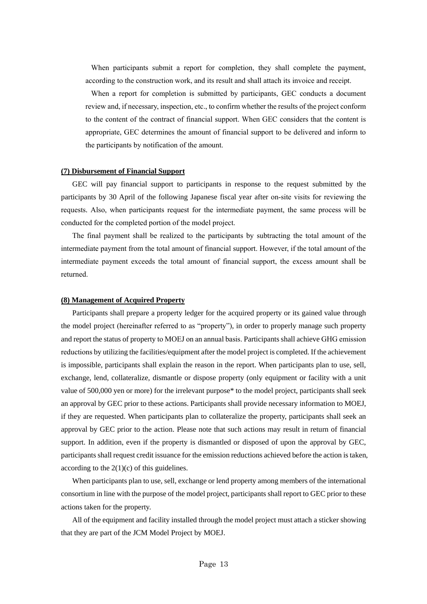When participants submit a report for completion, they shall complete the payment, according to the construction work, and its result and shall attach its invoice and receipt.

When a report for completion is submitted by participants, GEC conducts a document review and, if necessary, inspection, etc., to confirm whether the results of the project conform to the content of the contract of financial support. When GEC considers that the content is appropriate, GEC determines the amount of financial support to be delivered and inform to the participants by notification of the amount.

#### <span id="page-15-0"></span>**(7) Disbursement of Financial Support**

GEC will pay financial support to participants in response to the request submitted by the participants by 30 April of the following Japanese fiscal year after on-site visits for reviewing the requests. Also, when participants request for the intermediate payment, the same process will be conducted for the completed portion of the model project.

The final payment shall be realized to the participants by subtracting the total amount of the intermediate payment from the total amount of financial support. However, if the total amount of the intermediate payment exceeds the total amount of financial support, the excess amount shall be returned.

#### <span id="page-15-1"></span>**(8) Management of Acquired Property**

Participants shall prepare a property ledger for the acquired property or its gained value through the model project (hereinafter referred to as "property"), in order to properly manage such property and report the status of property to MOEJ on an annual basis. Participants shall achieve GHG emission reductions by utilizing the facilities/equipment after the model project is completed. If the achievement is impossible, participants shall explain the reason in the report. When participants plan to use, sell, exchange, lend, collateralize, dismantle or dispose property (only equipment or facility with a unit value of 500,000 yen or more) for the irrelevant purpose\* to the model project, participants shall seek an approval by GEC prior to these actions. Participants shall provide necessary information to MOEJ, if they are requested. When participants plan to collateralize the property, participants shall seek an approval by GEC prior to the action. Please note that such actions may result in return of financial support. In addition, even if the property is dismantled or disposed of upon the approval by GEC, participants shall request credit issuance for the emission reductions achieved before the action is taken, according to the  $2(1)(c)$  of this guidelines.

When participants plan to use, sell, exchange or lend property among members of the international consortium in line with the purpose of the model project, participants shall report to GEC prior to these actions taken for the property.

All of the equipment and facility installed through the model project must attach a sticker showing that they are part of the JCM Model Project by MOEJ.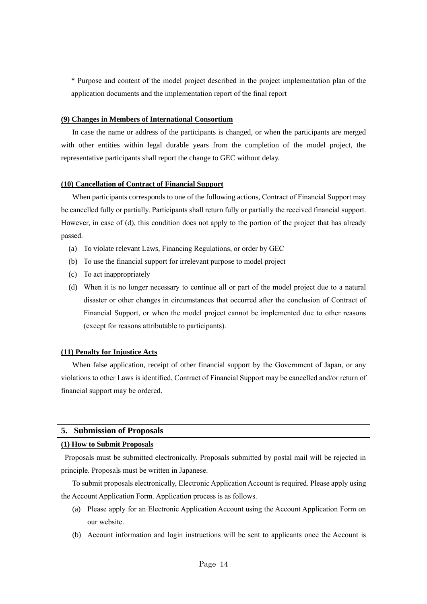\* Purpose and content of the model project described in the project implementation plan of the application documents and the implementation report of the final report

#### <span id="page-16-0"></span>**(9) Changes in Members of International Consortium**

In case the name or address of the participants is changed, or when the participants are merged with other entities within legal durable years from the completion of the model project, the representative participants shall report the change to GEC without delay.

#### <span id="page-16-1"></span>**(10) Cancellation of Contract of Financial Support**

When participants corresponds to one of the following actions, Contract of Financial Support may be cancelled fully or partially. Participants shall return fully or partially the received financial support. However, in case of (d), this condition does not apply to the portion of the project that has already passed.

- (a) To violate relevant Laws, Financing Regulations, or order by GEC
- (b) To use the financial support for irrelevant purpose to model project
- (c) To act inappropriately
- (d) When it is no longer necessary to continue all or part of the model project due to a natural disaster or other changes in circumstances that occurred after the conclusion of Contract of Financial Support, or when the model project cannot be implemented due to other reasons (except for reasons attributable to participants).

#### <span id="page-16-2"></span>**(11) Penalty for Injustice Acts**

When false application, receipt of other financial support by the Government of Japan, or any violations to other Laws is identified, Contract of Financial Support may be cancelled and/or return of financial support may be ordered.

#### <span id="page-16-3"></span>**5. Submission of Proposals**

#### <span id="page-16-4"></span>**(1) How to Submit Proposals**

Proposals must be submitted electronically. Proposals submitted by postal mail will be rejected in principle. Proposals must be written in Japanese.

To submit proposals electronically, Electronic Application Account is required. Please apply using the Account Application Form. Application process is as follows.

- (a) Please apply for an Electronic Application Account using the Account Application Form on our website.
- (b) Account information and login instructions will be sent to applicants once the Account is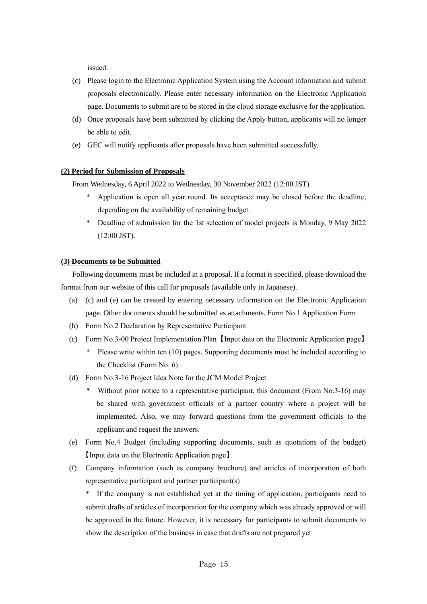issued.

- (c) Please login to the Electronic Application System using the Account information and submit proposals electronically. Please enter necessary information on the Electronic Application page. Documents to submit are to be stored in the cloud storage exclusive for the application.
- (d) Once proposals have been submitted by clicking the Apply button, applicants will no longer be able to edit.
- (e) GEC will notify applicants after proposals have been submitted successfully.

## <span id="page-17-0"></span>**(2) Period for Submission of Proposals**

From Wednesday, 6 April 2022 to Wednesday, 30 November 2022 (12:00 JST)

- \* Application is open all year round. Its acceptance may be closed before the deadline, depending on the availability of remaining budget.
- \* Deadline of submission for the 1st selection of model projects is Monday, 9 May 2022 (12:00 JST).

## <span id="page-17-1"></span>**(3) Documents to be Submitted**

Following documents must be included in a proposal. If a format is specified, please download the format from our website of this call for proposals (available only in Japanese).

- (a) (c) and (e) can be created by entering necessary information on the Electronic Application page. Other documents should be submitted as attachments. Form No.1 Application Form
- (b) Form No.2 Declaration by Representative Participant
- (c) Form No.3-00 Project Implementation Plan 【Input data on the Electronic Application page】
	- \* Please write within ten (10) pages. Supporting documents must be included according to the Checklist (Form No. 6).
- (d) Form No.3-16 Project Idea Note for the JCM Model Project
	- \* Without prior notice to a representative participant, this document (From No.3-16) may be shared with government officials of a partner country where a project will be implemented. Also, we may forward questions from the government officials to the applicant and request the answers.
- (e) Form No.4 Budget (including supporting documents, such as quotations of the budget) 【Input data on the Electronic Application page】
- (f) Company information (such as company brochure) and articles of incorporation of both representative participant and partner participant(s)

\* If the company is not established yet at the timing of application, participants need to submit drafts of articles of incorporation for the company which was already approved or will be approved in the future. However, it is necessary for participants to submit documents to show the description of the business in case that drafts are not prepared yet.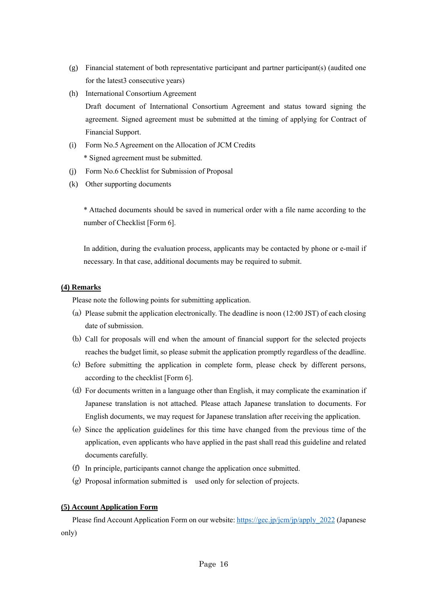- (g) Financial statement of both representative participant and partner participant(s) (audited one for the latest3 consecutive years)
- (h) International Consortium Agreement Draft document of International Consortium Agreement and status toward signing the agreement. Signed agreement must be submitted at the timing of applying for Contract of Financial Support.
- (i) Form No.5 Agreement on the Allocation of JCM Credits \* Signed agreement must be submitted.
- (j) Form No.6 Checklist for Submission of Proposal
- (k) Other supporting documents

\* Attached documents should be saved in numerical order with a file name according to the number of Checklist [Form 6].

In addition, during the evaluation process, applicants may be contacted by phone or e-mail if necessary. In that case, additional documents may be required to submit.

### <span id="page-18-0"></span>**(4) Remarks**

Please note the following points for submitting application.

- (a) Please submit the application electronically. The deadline is noon (12:00 JST) of each closing date of submission.
- (b) Call for proposals will end when the amount of financial support for the selected projects reaches the budget limit, so please submit the application promptly regardless of the deadline.
- (c) Before submitting the application in complete form, please check by different persons, according to the checklist [Form 6].
- (d) For documents written in a language other than English, it may complicate the examination if Japanese translation is not attached. Please attach Japanese translation to documents. For English documents, we may request for Japanese translation after receiving the application.
- (e) Since the application guidelines for this time have changed from the previous time of the application, even applicants who have applied in the past shall read this guideline and related documents carefully.
- (f) In principle, participants cannot change the application once submitted.
- (g) Proposal information submitted is used only for selection of projects.

## <span id="page-18-1"></span>**(5) Account Application Form**

Please find Account Application Form on our website: [https://gec.jp/jcm/jp/apply\\_2022](https://gec.jp/jcm/jp/apply_2022) (Japanese only)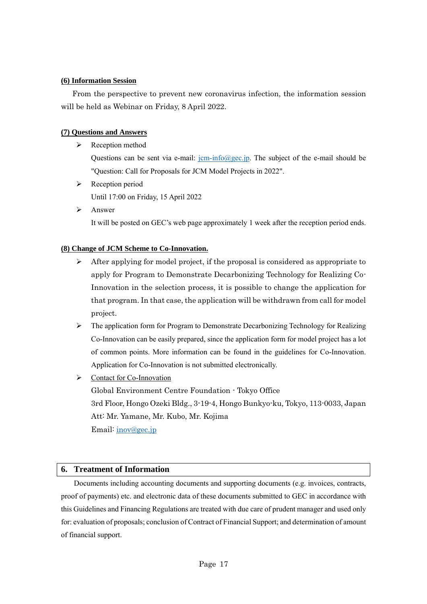## <span id="page-19-0"></span>**(6) Information Session**

From the perspective to prevent new coronavirus infection, the information session will be held as Webinar on Friday, 8 April 2022.

## <span id="page-19-1"></span>**(7) Questions and Answers**

➢ Reception method

Questions can be sent via e-mail:  $\frac{jcm\cdot\ln(0/\theta) \sec(jm)}{m}$ . The subject of the e-mail should be "Question: Call for Proposals for JCM Model Projects in 2022".

- ➢ Reception period Until 17:00 on Friday, 15 April 2022
- ➢ Answer It will be posted on GEC's web page approximately 1 week after the reception period ends.

## <span id="page-19-2"></span>**(8) Change of JCM Scheme to Co-Innovation.**

- $\triangleright$  After applying for model project, if the proposal is considered as appropriate to apply for Program to Demonstrate Decarbonizing Technology for Realizing Co-Innovation in the selection process, it is possible to change the application for that program. In that case, the application will be withdrawn from call for model project.
- $\triangleright$  The application form for Program to Demonstrate Decarbonizing Technology for Realizing Co-Innovation can be easily prepared, since the application form for model project has a lot of common points. More information can be found in the guidelines for Co-Innovation. Application for Co-Innovation is not submitted electronically.
- ➢ Contact for Co-Innovation

Global Environment Centre Foundation - Tokyo Office 3rd Floor, Hongo Ozeki Bldg., 3-19-4, Hongo Bunkyo-ku, Tokyo, 113-0033, Japan Att: Mr. Yamane, Mr. Kubo, Mr. Kojima Email: [inov@gec.jp](mailto:inov@gec.jp)

## <span id="page-19-3"></span>**6. Treatment of Information**

Documents including accounting documents and supporting documents (e.g. invoices, contracts, proof of payments) etc. and electronic data of these documents submitted to GEC in accordance with this Guidelines and Financing Regulations are treated with due care of prudent manager and used only for: evaluation of proposals; conclusion of Contract of Financial Support; and determination of amount of financial support.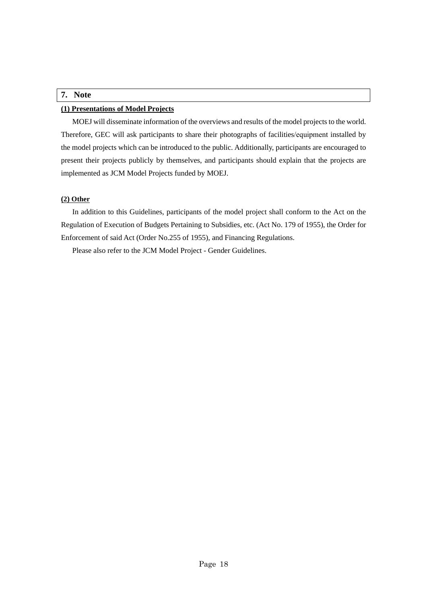## <span id="page-20-0"></span>**7. Note**

## <span id="page-20-1"></span>**(1) Presentations of Model Projects**

MOEJ will disseminate information of the overviews and results of the model projects to the world. Therefore, GEC will ask participants to share their photographs of facilities/equipment installed by the model projects which can be introduced to the public. Additionally, participants are encouraged to present their projects publicly by themselves, and participants should explain that the projects are implemented as JCM Model Projects funded by MOEJ.

#### <span id="page-20-2"></span>**(2) Other**

In addition to this Guidelines, participants of the model project shall conform to the Act on the Regulation of Execution of Budgets Pertaining to Subsidies, etc. (Act No. 179 of 1955), the Order for Enforcement of said Act (Order No.255 of 1955), and Financing Regulations.

Please also refer to the JCM Model Project - Gender Guidelines.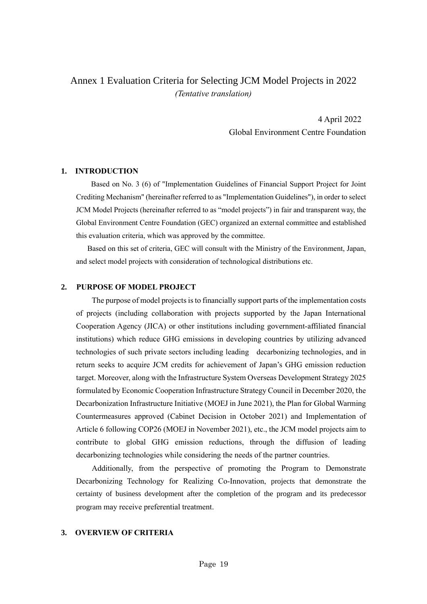## <span id="page-21-0"></span>Annex 1 Evaluation Criteria for Selecting JCM Model Projects in 2022 *(Tentative translation)*

4 April 2022 Global Environment Centre Foundation

#### **1. INTRODUCTION**

Based on No. 3 (6) of "Implementation Guidelines of Financial Support Project for Joint Crediting Mechanism" (hereinafter referred to as "Implementation Guidelines"), in order to select JCM Model Projects (hereinafter referred to as "model projects") in fair and transparent way, the Global Environment Centre Foundation (GEC) organized an external committee and established this evaluation criteria, which was approved by the committee.

Based on this set of criteria, GEC will consult with the Ministry of the Environment, Japan, and select model projects with consideration of technological distributions etc.

## **2. PURPOSE OF MODEL PROJECT**

The purpose of model projects is to financially support parts of the implementation costs of projects (including collaboration with projects supported by the Japan International Cooperation Agency (JICA) or other institutions including government-affiliated financial institutions) which reduce GHG emissions in developing countries by utilizing advanced technologies of such private sectors including leading decarbonizing technologies, and in return seeks to acquire JCM credits for achievement of Japan's GHG emission reduction target. Moreover, along with the Infrastructure System Overseas Development Strategy 2025 formulated by Economic Cooperation Infrastructure Strategy Council in December 2020, the Decarbonization Infrastructure Initiative (MOEJ in June 2021), the Plan for Global Warming Countermeasures approved (Cabinet Decision in October 2021) and Implementation of Article 6 following COP26 (MOEJ in November 2021), etc., the JCM model projects aim to contribute to global GHG emission reductions, through the diffusion of leading decarbonizing technologies while considering the needs of the partner countries.

Additionally, from the perspective of promoting the Program to Demonstrate Decarbonizing Technology for Realizing Co-Innovation, projects that demonstrate the certainty of business development after the completion of the program and its predecessor program may receive preferential treatment.

## **3. OVERVIEW OF CRITERIA**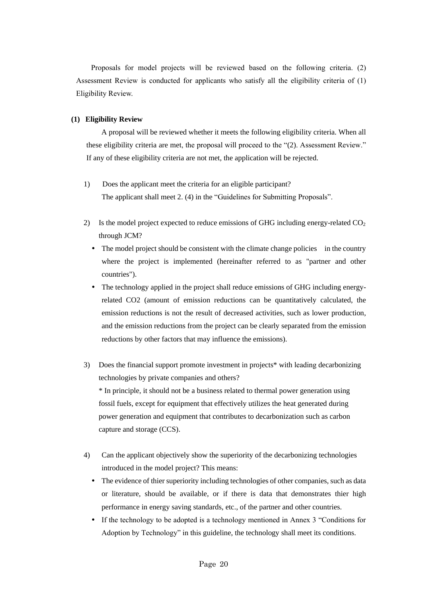Proposals for model projects will be reviewed based on the following criteria. (2) Assessment Review is conducted for applicants who satisfy all the eligibility criteria of (1) Eligibility Review.

### **(1) Eligibility Review**

A proposal will be reviewed whether it meets the following eligibility criteria. When all these eligibility criteria are met, the proposal will proceed to the "(2). Assessment Review." If any of these eligibility criteria are not met, the application will be rejected.

- 1) Does the applicant meet the criteria for an eligible participant? The applicant shall meet 2. (4) in the "Guidelines for Submitting Proposals".
- 2) Is the model project expected to reduce emissions of GHG including energy-related  $CO<sub>2</sub>$ through JCM?
	- The model project should be consistent with the climate change policies in the country where the project is implemented (hereinafter referred to as "partner and other countries").
	- The technology applied in the project shall reduce emissions of GHG including energyrelated CO2 (amount of emission reductions can be quantitatively calculated, the emission reductions is not the result of decreased activities, such as lower production, and the emission reductions from the project can be clearly separated from the emission reductions by other factors that may influence the emissions).
- 3) Does the financial support promote investment in projects\* with leading decarbonizing technologies by private companies and others? \* In principle, it should not be a business related to thermal power generation using fossil fuels, except for equipment that effectively utilizes the heat generated during power generation and equipment that contributes to decarbonization such as carbon capture and storage (CCS).
- 4) Can the applicant objectively show the superiority of the decarbonizing technologies introduced in the model project? This means:
	- The evidence of thier superiority including technologies of other companies, such as data or literature, should be available, or if there is data that demonstrates thier high performance in energy saving standards, etc., of the partner and other countries.
	- If the technology to be adopted is a technology mentioned in Annex 3 "Conditions for Adoption by Technology" in this guideline, the technology shall meet its conditions.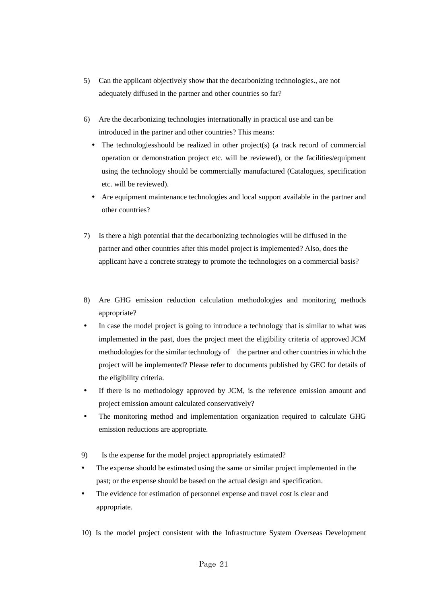- 5) Can the applicant objectively show that the decarbonizing technologies., are not adequately diffused in the partner and other countries so far?
- 6) Are the decarbonizing technologies internationally in practical use and can be introduced in the partner and other countries? This means:
	- The technologiesshould be realized in other project(s) (a track record of commercial operation or demonstration project etc. will be reviewed), or the facilities/equipment using the technology should be commercially manufactured (Catalogues, specification etc. will be reviewed).
	- Are equipment maintenance technologies and local support available in the partner and other countries?
- 7) Is there a high potential that the decarbonizing technologies will be diffused in the partner and other countries after this model project is implemented? Also, does the applicant have a concrete strategy to promote the technologies on a commercial basis?
- 8) Are GHG emission reduction calculation methodologies and monitoring methods appropriate?
- In case the model project is going to introduce a technology that is similar to what was implemented in the past, does the project meet the eligibility criteria of approved JCM methodologies for the similar technology of the partner and other countries in which the project will be implemented? Please refer to documents published by GEC for details of the eligibility criteria.
- If there is no methodology approved by JCM, is the reference emission amount and project emission amount calculated conservatively?
- The monitoring method and implementation organization required to calculate GHG emission reductions are appropriate.
- 9) Is the expense for the model project appropriately estimated?
- The expense should be estimated using the same or similar project implemented in the past; or the expense should be based on the actual design and specification.
- The evidence for estimation of personnel expense and travel cost is clear and appropriate.
- 10) Is the model project consistent with the Infrastructure System Overseas Development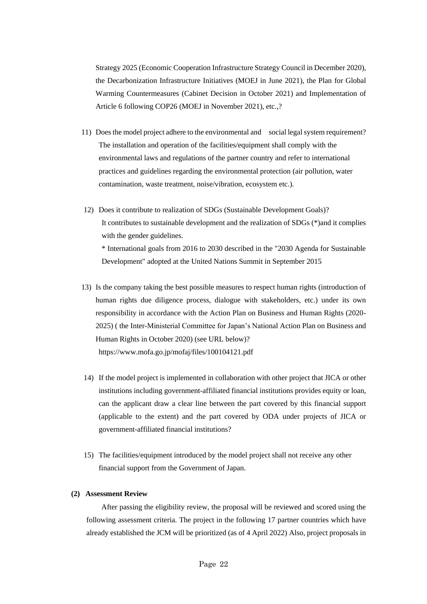Strategy 2025 (Economic Cooperation Infrastructure Strategy Council in December 2020), the Decarbonization Infrastructure Initiatives (MOEJ in June 2021), the Plan for Global Warming Countermeasures (Cabinet Decision in October 2021) and Implementation of Article 6 following COP26 (MOEJ in November 2021), etc.,?

- 11) Does the model project adhere to the environmental and social legal system requirement? The installation and operation of the facilities/equipment shall comply with the environmental laws and regulations of the partner country and refer to international practices and guidelines regarding the environmental protection (air pollution, water contamination, waste treatment, noise/vibration, ecosystem etc.).
- 12) Does it contribute to realization of SDGs (Sustainable Development Goals)? It contributes to sustainable development and the realization of SDGs (\*)and it complies with the gender guidelines. \* International goals from 2016 to 2030 described in the "2030 Agenda for Sustainable Development" adopted at the United Nations Summit in September 2015
- 13) Is the company taking the best possible measures to respect human rights (introduction of human rights due diligence process, dialogue with stakeholders, etc.) under its own responsibility in accordance with the Action Plan on Business and Human Rights (2020- 2025) ( the Inter-Ministerial Committee for Japan's National Action Plan on Business and Human Rights in October 2020) (see URL below)? https://www.mofa.go.jp/mofaj/files/100104121.pdf
- 14) If the model project is implemented in collaboration with other project that JICA or other institutions including government-affiliated financial institutions provides equity or loan, can the applicant draw a clear line between the part covered by this financial support (applicable to the extent) and the part covered by ODA under projects of JICA or government-affiliated financial institutions?
- 15) The facilities/equipment introduced by the model project shall not receive any other financial support from the Government of Japan.

#### **(2) Assessment Review**

After passing the eligibility review, the proposal will be reviewed and scored using the following assessment criteria. The project in the following 17 partner countries which have already established the JCM will be prioritized (as of 4 April 2022) Also, project proposals in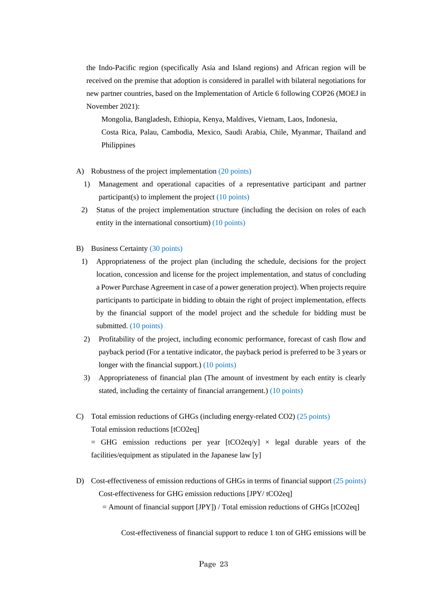the Indo-Pacific region (specifically Asia and Island regions) and African region will be received on the premise that adoption is considered in parallel with bilateral negotiations for new partner countries, based on the Implementation of Article 6 following COP26 (MOEJ in November 2021):

Mongolia, Bangladesh, Ethiopia, Kenya, Maldives, Vietnam, Laos, Indonesia, Costa Rica, Palau, Cambodia, Mexico, Saudi Arabia, Chile, Myanmar, Thailand and Philippines

- A) Robustness of the project implementation (20 points)
	- 1) Management and operational capacities of a representative participant and partner participant(s) to implement the project (10 points)
	- 2) Status of the project implementation structure (including the decision on roles of each entity in the international consortium) (10 points)
- B) Business Certainty (30 points)
	- 1) Appropriateness of the project plan (including the schedule, decisions for the project location, concession and license for the project implementation, and status of concluding a Power Purchase Agreement in case of a power generation project). When projects require participants to participate in bidding to obtain the right of project implementation, effects by the financial support of the model project and the schedule for bidding must be submitted. (10 points)
	- 2) Profitability of the project, including economic performance, forecast of cash flow and payback period (For a tentative indicator, the payback period is preferred to be 3 years or longer with the financial support.) (10 points)
	- 3) Appropriateness of financial plan (The amount of investment by each entity is clearly stated, including the certainty of financial arrangement.) (10 points)
- C) Total emission reductions of GHGs (including energy-related CO2) (25 points) Total emission reductions [tCO2eq]  $=$  GHG emission reductions per year  $[tCO2eq/y] \times$  legal durable years of the facilities/equipment as stipulated in the Japanese law [y]
- D) Cost-effectiveness of emission reductions of GHGs in terms of financial support (25 points) Cost-effectiveness for GHG emission reductions [JPY/ tCO2eq]

 $=$  Amount of financial support  $[JPY]$ ) / Total emission reductions of GHGs [tCO2eq]

Cost-effectiveness of financial support to reduce 1 ton of GHG emissions will be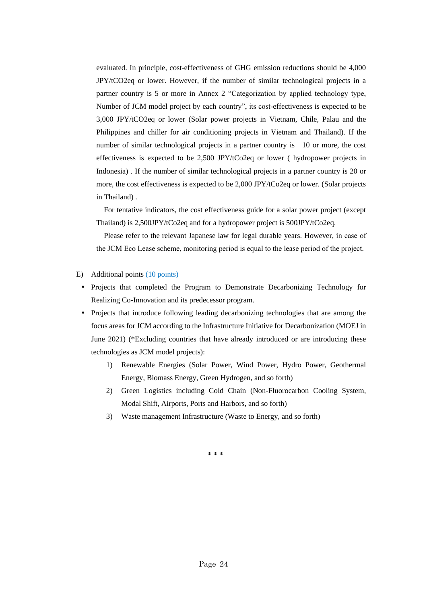evaluated. In principle, cost-effectiveness of GHG emission reductions should be 4,000 JPY/tCO2eq or lower. However, if the number of similar technological projects in a partner country is 5 or more in Annex 2 "Categorization by applied technology type, Number of JCM model project by each country", its cost-effectiveness is expected to be 3,000 JPY/tCO2eq or lower (Solar power projects in Vietnam, Chile, Palau and the Philippines and chiller for air conditioning projects in Vietnam and Thailand). If the number of similar technological projects in a partner country is 10 or more, the cost effectiveness is expected to be 2,500 JPY/tCo2eq or lower ( hydropower projects in Indonesia) . If the number of similar technological projects in a partner country is 20 or more, the cost effectiveness is expected to be 2,000 JPY/tCo2eq or lower. (Solar projects in Thailand) .

 For tentative indicators, the cost effectiveness guide for a solar power project (except Thailand) is 2,500JPY/tCo2eq and for a hydropower project is 500JPY/tCo2eq.

Please refer to the relevant Japanese law for legal durable years. However, in case of the JCM Eco Lease scheme, monitoring period is equal to the lease period of the project.

#### E) Additional points (10 points)

- Projects that completed the Program to Demonstrate Decarbonizing Technology for Realizing Co-Innovation and its predecessor program.
- Projects that introduce following leading decarbonizing technologies that are among the focus areas for JCM according to the Infrastructure Initiative for Decarbonization (MOEJ in June 2021) (\*Excluding countries that have already introduced or are introducing these technologies as JCM model projects):
	- 1) Renewable Energies (Solar Power, Wind Power, Hydro Power, Geothermal Energy, Biomass Energy, Green Hydrogen, and so forth)
	- 2) Green Logistics including Cold Chain (Non-Fluorocarbon Cooling System, Modal Shift, Airports, Ports and Harbors, and so forth)
	- 3) Waste management Infrastructure (Waste to Energy, and so forth)

\* \* \*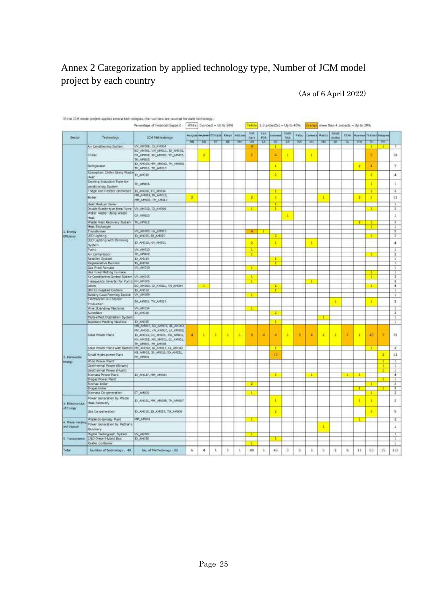## <span id="page-27-0"></span>Annex 2 Categorization by applied technology type, Number of JCM model project by each country

## (As of 6 April 2022)

|                                |                                                                     | If one JCM model preject applies several technologies, the numbers are counted for each technology,<br>Percentage of Financial Support |           |    | Write   D project = Up to 50%               |    |                      | <b>Visitow</b>      |                    | $1.3$ project(1) = $1/\rho$ to $40\%$ |                       |               |                    |        |                         |                    | Grange, more than 4 perjects = Up to 30% |                          |          |                         |
|--------------------------------|---------------------------------------------------------------------|----------------------------------------------------------------------------------------------------------------------------------------|-----------|----|---------------------------------------------|----|----------------------|---------------------|--------------------|---------------------------------------|-----------------------|---------------|--------------------|--------|-------------------------|--------------------|------------------------------------------|--------------------------|----------|-------------------------|
| <b>Sector</b>                  | Technology                                                          | <b>JCM Methodology</b>                                                                                                                 |           |    | Mospola Neutrien (Thirdeal Kenya   Holdbrid |    |                      | Ulet<br><b>Nark</b> | List<br><b>FDR</b> | <b>GROSS</b>                          | <b>Coldo</b><br>Rica. | <b>Hetter</b> | <b>Cardinal in</b> | Megina | Stuff.<br><b>Arabia</b> | Chile <sup>1</sup> |                                          | Hyannar Thatta dimension |          |                         |
|                                | Air Comptening System                                               | VN_AH106, ID_AM004                                                                                                                     | <b>HN</b> | 斯  | IΤ                                          | सा | WV                   | W<br>а              | TX.                | ю                                     | τε                    | PW            | खा                 | PO.    | ब्र                     | π                  | <b>MM</b>                                | ग्रह<br>τ                | FH.<br>Ŧ |                         |
|                                | Chiler                                                              | ED AMIOI, VN AMOLI, ID AMOUZ<br>CR_AMOD2, KH_AMOD3, TH_AM003,<br>TH, AMOUS                                                             |           | z  |                                             |    |                      | н                   |                    | T.<br>4                               |                       |               | ı                  |        |                         |                    |                                          | 5                        |          | 18                      |
|                                | Refrigeration                                                       | ID_APOID, HM_AMOUZ, TH_AMUDI,<br>TH_ARG11, TH_ARG13                                                                                    |           |    |                                             |    |                      |                     |                    | <b>T</b>                              |                       |               |                    |        |                         |                    | ×                                        | ×                        |          | V.                      |
|                                | Absorption Chiler (Aing Wade)                                       |                                                                                                                                        |           |    |                                             |    |                      |                     |                    |                                       |                       |               |                    |        |                         |                    |                                          |                          |          |                         |
|                                | Heat<br>Seirling Induction Type Ar-                                 | D_49022                                                                                                                                |           |    |                                             |    |                      |                     |                    | ä                                     |                       |               |                    |        |                         |                    |                                          | ä,                       |          | 4                       |
|                                | conditioning System                                                 | TH, AMODE                                                                                                                              |           |    |                                             |    |                      |                     |                    |                                       |                       |               |                    |        |                         |                    |                                          | r                        |          | 1                       |
|                                | Fridge and Freezer Showcase   30_AM008, TH_AM014                    |                                                                                                                                        |           |    |                                             |    |                      |                     |                    |                                       |                       |               |                    |        |                         |                    |                                          |                          |          | ī                       |
|                                | Boler                                                               | HN AHIOZ, ID, AHIIS,<br>MM_AM003, TH_AM0LD                                                                                             | z         |    |                                             |    |                      | ż                   |                    | ٠                                     |                       |               |                    | л      |                         |                    | 2                                        | s.                       |          | 13                      |
|                                | Heat Hedium Board                                                   |                                                                                                                                        |           |    |                                             |    |                      |                     |                    | Ŧ                                     |                       |               |                    |        |                         |                    |                                          |                          |          | Ŧ                       |
|                                | Double Bundle-type Hweb Pump V. M. AM012, ID. AM010.                |                                                                                                                                        |           |    |                                             |    |                      |                     |                    | т                                     |                       |               |                    |        |                         |                    |                                          | τ                        |          | T                       |
|                                | Water Heater Using Waster<br>Heat                                   | CR AMOUS                                                                                                                               |           |    |                                             |    |                      |                     |                    |                                       | ٠                     |               |                    |        |                         |                    |                                          |                          |          | 1                       |
|                                | Waste Heat Recovery System TH, AN012                                |                                                                                                                                        |           |    |                                             |    |                      |                     |                    |                                       |                       |               |                    |        |                         |                    | т                                        |                          |          | $\overline{\mathbf{1}}$ |
|                                | Heat Exchanger                                                      |                                                                                                                                        |           |    |                                             |    |                      |                     |                    |                                       |                       |               |                    |        |                         |                    |                                          |                          |          |                         |
| 1 treny                        | Transformer                                                         | VN_ARE05, LA_AR003                                                                                                                     |           |    |                                             |    |                      | а                   | ٠                  |                                       |                       |               |                    |        |                         |                    |                                          |                          |          | τ<br>Ŧ                  |
| <b>Efficency</b>               | LED Lighting<br>LED Lighting with Dimming                           | ID ANDES, 1D AMERO                                                                                                                     |           |    |                                             |    |                      |                     |                    | Ξ                                     |                       |               |                    |        |                         |                    |                                          | т                        |          |                         |
|                                | System:                                                             | IS_AP018, RH_AM101                                                                                                                     |           |    |                                             |    |                      | R                   |                    | T                                     |                       |               | T                  |        |                         |                    |                                          |                          |          | $\ddot{\phantom{a}}$    |
|                                | Pump                                                                | VN_AMD13                                                                                                                               |           |    |                                             |    |                      | τ                   |                    |                                       |                       |               |                    |        |                         |                    |                                          |                          |          | τ                       |
|                                | Air Compretdor                                                      | THE AMOUZ                                                                                                                              |           |    |                                             |    |                      | $\mathbf{I}$        |                    |                                       |                       |               |                    |        |                         |                    |                                          | т                        |          | ï                       |
|                                | Aeration System                                                     | ID AM024                                                                                                                               |           |    |                                             |    |                      |                     |                    |                                       |                       |               |                    |        |                         |                    |                                          |                          |          | t                       |
|                                | Regenerative Burners                                                | <b>ID_AMODA</b>                                                                                                                        |           |    |                                             |    |                      |                     |                    |                                       |                       |               |                    |        |                         |                    |                                          |                          |          | T.                      |
|                                | Gas Fired Furnace                                                   | <b>VN AMOUS</b>                                                                                                                        |           |    |                                             |    |                      |                     |                    |                                       |                       |               |                    |        |                         |                    |                                          |                          |          | 1                       |
|                                | Gas Fined Metting Furnace                                           |                                                                                                                                        |           |    |                                             |    |                      |                     |                    |                                       |                       |               |                    |        |                         |                    |                                          |                          |          | t                       |
|                                | Air Candidoning Control System VII, ANDIS                           |                                                                                                                                        |           |    |                                             |    |                      |                     |                    |                                       |                       |               |                    |        |                         |                    |                                          | т                        |          | ī                       |
|                                | Freaquency Inverter for Pump KH_AMBES                               |                                                                                                                                        |           |    |                                             |    |                      | Ŧ                   |                    |                                       |                       |               | ×                  |        |                         |                    |                                          |                          |          | $\overline{2}$          |
|                                | Learn                                                               | BD_AR000, ID_AR031, TH_AR004<br><b>ID ANOUR</b>                                                                                        |           | T  |                                             |    |                      |                     |                    | 2                                     |                       |               |                    |        |                         |                    |                                          | ī                        |          | $\overline{4}$<br>t.    |
|                                | <b>GM Conugated Certons</b><br>Battery Case Ferming Device VA_AH109 |                                                                                                                                        |           |    |                                             |    |                      |                     |                    |                                       |                       |               |                    |        |                         |                    |                                          |                          |          |                         |
|                                | Electrolyzer in Chlorine                                            | SA, AMODE, TH, AMOLS                                                                                                                   |           |    |                                             |    |                      |                     |                    |                                       |                       |               |                    |        | Ł                       |                    |                                          | ĸ                        |          | z                       |
|                                | Production                                                          |                                                                                                                                        |           |    |                                             |    |                      |                     |                    |                                       |                       |               |                    |        |                         |                    |                                          |                          |          |                         |
|                                | Wire Stranding Nachines                                             | VN, AMOLE                                                                                                                              |           |    |                                             |    |                      | ÷                   |                    | Ŧ                                     |                       |               |                    |        |                         |                    |                                          |                          |          | τ                       |
|                                | Autoclave<br>Multi-effect Distillation System                       | IS 24931                                                                                                                               |           |    |                                             |    |                      |                     |                    |                                       |                       |               |                    |        |                         |                    |                                          |                          |          | T<br>ı                  |
|                                |                                                                     | <b>ID AWAY</b>                                                                                                                         |           |    |                                             |    |                      |                     |                    | Ŧ                                     |                       |               |                    |        |                         |                    |                                          |                          |          | τ                       |
|                                | Iroedien Moding Machine                                             | HN AHIRS, 8D AMOD2, KE AMOD2,                                                                                                          |           |    |                                             |    |                      |                     |                    |                                       |                       |               |                    |        |                         |                    |                                          |                          |          |                         |
|                                | Solar Power Plant                                                   | MV_AMODE, VN_AMOD?, LA_AMOD2,<br>ID_AMO13, CR_AMIDG, FW_AMOD1,<br>KH_AMDE2, MSL_AMEDS, CL_AMDE1,<br>TH, AMOU2, TH, AMOU2               | ٠         | ÷. | ×                                           | ٠  | n.                   | u                   | ٠                  | a                                     | ٦                     | x             | ٠                  | a      | Ŧ                       |                    | T                                        | 20                       |          | $\frac{1}{2}$           |
|                                |                                                                     | Solar Power Plant with Battery Mv., AN002, SD., AHSL7, CL., AM002.                                                                     |           |    |                                             |    |                      |                     |                    | т                                     |                       |               |                    |        |                         |                    |                                          | r                        |          | z                       |
| 2. Revenistin                  | Small Hydropower Plant                                              | KE ANDOL 10 ANOIS, 10 ANS21.<br>TRONA_HM                                                                                               |           |    |                                             |    |                      |                     |                    | 10                                    |                       |               |                    |        |                         |                    |                                          |                          | з        | 12                      |
| bwgr                           | Wind Power Plant                                                    |                                                                                                                                        |           |    |                                             |    |                      |                     |                    |                                       |                       |               |                    |        |                         |                    |                                          |                          | τ        | t                       |
|                                | Gesthermal Pearer (Briary)                                          |                                                                                                                                        |           |    |                                             |    |                      |                     |                    |                                       |                       |               |                    |        |                         |                    |                                          |                          |          | τ                       |
|                                | Geothermal Pewer (Fluith)                                           |                                                                                                                                        |           |    |                                             |    |                      |                     |                    |                                       |                       |               |                    |        |                         |                    |                                          |                          |          | t                       |
|                                | <b>Biomass Priver Plant</b>                                         | ID_AM027, MM_AM004                                                                                                                     |           |    |                                             |    |                      |                     |                    |                                       |                       |               |                    |        |                         |                    |                                          |                          |          | $\overline{4}$          |
|                                | Biogas Power Plant                                                  |                                                                                                                                        |           |    |                                             |    |                      |                     |                    |                                       |                       |               |                    |        |                         |                    |                                          |                          |          | x                       |
|                                | Sionsas boiler                                                      |                                                                                                                                        |           |    |                                             |    |                      |                     |                    |                                       |                       |               |                    |        |                         |                    |                                          | τ                        |          | Т                       |
|                                | <b>Brogas</b> bolen                                                 |                                                                                                                                        |           |    |                                             |    |                      |                     |                    |                                       |                       |               |                    |        |                         |                    |                                          |                          |          | $\mathbf{r}$            |
|                                | liternass Co-peneration                                             | <b>COSMA TE</b>                                                                                                                        |           |    |                                             |    |                      |                     |                    |                                       |                       |               |                    |        |                         |                    |                                          | т                        |          | 7                       |
| 3. Etherweise                  | Power Generation by Waste.<br>Heat Recovery                         | E1 ANGEL, MM. AMOUS, TH. AMOU?                                                                                                         |           |    |                                             |    |                      |                     |                    | x                                     |                       |               |                    |        |                         |                    | ٠                                        | т                        |          | ä                       |
| of Energy                      | Gas Co-generation                                                   | TO_AM016, TD_AH1023, TH_AM009                                                                                                          |           |    |                                             |    |                      |                     |                    | a.                                    |                       |               |                    |        |                         |                    |                                          | ×                        |          | 5                       |
|                                | Waste-to-Einergy Plant                                              | HM_ANXXI                                                                                                                               |           |    |                                             |    |                      |                     |                    |                                       |                       |               |                    |        |                         |                    |                                          |                          |          | z                       |
| 4. Mack Hardley<br>and Depala! | Power Generation by Methane                                         |                                                                                                                                        |           |    |                                             |    |                      |                     |                    |                                       |                       |               |                    | d.     |                         |                    |                                          |                          |          | Ł,                      |
|                                | Receivery                                                           |                                                                                                                                        |           |    |                                             |    |                      |                     |                    |                                       |                       |               |                    |        |                         |                    |                                          |                          |          |                         |
|                                | Digital Tachograph System                                           | VAL AREOZ                                                                                                                              |           |    |                                             |    |                      |                     |                    |                                       |                       |               |                    |        |                         |                    |                                          |                          |          | ı                       |
| S. Yemapotators                | CNG-Diesel Hybrid Bus                                               | ID AND RE                                                                                                                              |           |    |                                             |    |                      |                     |                    |                                       |                       |               |                    |        |                         |                    |                                          |                          |          | t                       |
|                                | Reefer Container                                                    |                                                                                                                                        |           |    |                                             |    |                      |                     |                    |                                       |                       |               |                    |        |                         |                    |                                          |                          |          | T.                      |
| Tetal                          | Number of behindings: 49                                            | No. of Methodology : 82                                                                                                                | 省         | 4  | t                                           | s  | $\ddot{\phantom{1}}$ | 40                  | 5                  | 45                                    | 3                     | 5             | B.                 | 5      | $\mathbf{a}$            | 番                  | 11                                       | 53                       | 15       | 213                     |